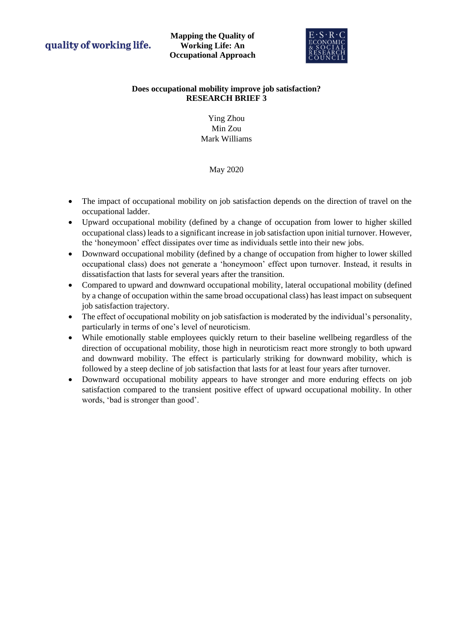quality of working life.

**Mapping the Quality of Working Life: An Occupational Approach**



## **Does occupational mobility improve job satisfaction? RESEARCH BRIEF 3**

# Ying Zhou Min Zou Mark Williams

# May 2020

- The impact of occupational mobility on job satisfaction depends on the direction of travel on the occupational ladder.
- Upward occupational mobility (defined by a change of occupation from lower to higher skilled occupational class) leads to a significant increase in job satisfaction upon initial turnover. However, the 'honeymoon' effect dissipates over time as individuals settle into their new jobs.
- Downward occupational mobility (defined by a change of occupation from higher to lower skilled occupational class) does not generate a 'honeymoon' effect upon turnover. Instead, it results in dissatisfaction that lasts for several years after the transition.
- Compared to upward and downward occupational mobility, lateral occupational mobility (defined by a change of occupation within the same broad occupational class) has least impact on subsequent job satisfaction trajectory.
- The effect of occupational mobility on job satisfaction is moderated by the individual's personality, particularly in terms of one's level of neuroticism.
- While emotionally stable employees quickly return to their baseline wellbeing regardless of the direction of occupational mobility, those high in neuroticism react more strongly to both upward and downward mobility. The effect is particularly striking for downward mobility, which is followed by a steep decline of job satisfaction that lasts for at least four years after turnover.
- Downward occupational mobility appears to have stronger and more enduring effects on job satisfaction compared to the transient positive effect of upward occupational mobility. In other words, 'bad is stronger than good'.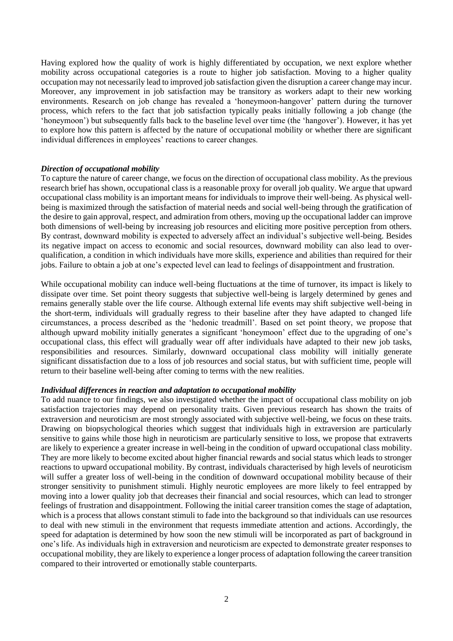Having explored how the quality of work is highly differentiated by occupation, we next explore whether mobility across occupational categories is a route to higher job satisfaction. Moving to a higher quality occupation may not necessarily lead to improved job satisfaction given the disruption a career change may incur. Moreover, any improvement in job satisfaction may be transitory as workers adapt to their new working environments. Research on job change has revealed a 'honeymoon-hangover' pattern during the turnover process, which refers to the fact that job satisfaction typically peaks initially following a job change (the 'honeymoon') but subsequently falls back to the baseline level over time (the 'hangover'). However, it has yet to explore how this pattern is affected by the nature of occupational mobility or whether there are significant individual differences in employees' reactions to career changes.

### *Direction of occupational mobility*

To capture the nature of career change, we focus on the direction of occupational class mobility. As the previous research brief has shown, occupational class is a reasonable proxy for overall job quality. We argue that upward occupational class mobility is an important means for individuals to improve their well-being. As physical wellbeing is maximized through the satisfaction of material needs and social well-being through the gratification of the desire to gain approval, respect, and admiration from others, moving up the occupational ladder can improve both dimensions of well-being by increasing job resources and eliciting more positive perception from others. By contrast, downward mobility is expected to adversely affect an individual's subjective well-being. Besides its negative impact on access to economic and social resources, downward mobility can also lead to overqualification, a condition in which individuals have more skills, experience and abilities than required for their jobs. Failure to obtain a job at one's expected level can lead to feelings of disappointment and frustration.

While occupational mobility can induce well-being fluctuations at the time of turnover, its impact is likely to dissipate over time. Set point theory suggests that subjective well-being is largely determined by genes and remains generally stable over the life course. Although external life events may shift subjective well-being in the short-term, individuals will gradually regress to their baseline after they have adapted to changed life circumstances, a process described as the 'hedonic treadmill'. Based on set point theory, we propose that although upward mobility initially generates a significant 'honeymoon' effect due to the upgrading of one's occupational class, this effect will gradually wear off after individuals have adapted to their new job tasks, responsibilities and resources. Similarly, downward occupational class mobility will initially generate significant dissatisfaction due to a loss of job resources and social status, but with sufficient time, people will return to their baseline well-being after coming to terms with the new realities.

#### *Individual differences in reaction and adaptation to occupational mobility*

To add nuance to our findings, we also investigated whether the impact of occupational class mobility on job satisfaction trajectories may depend on personality traits. Given previous research has shown the traits of extraversion and neuroticism are most strongly associated with subjective well-being, we focus on these traits. Drawing on biopsychological theories which suggest that individuals high in extraversion are particularly sensitive to gains while those high in neuroticism are particularly sensitive to loss, we propose that extraverts are likely to experience a greater increase in well-being in the condition of upward occupational class mobility. They are more likely to become excited about higher financial rewards and social status which leads to stronger reactions to upward occupational mobility. By contrast, individuals characterised by high levels of neuroticism will suffer a greater loss of well-being in the condition of downward occupational mobility because of their stronger sensitivity to punishment stimuli. Highly neurotic employees are more likely to feel entrapped by moving into a lower quality job that decreases their financial and social resources, which can lead to stronger feelings of frustration and disappointment. Following the initial career transition comes the stage of adaptation, which is a process that allows constant stimuli to fade into the background so that individuals can use resources to deal with new stimuli in the environment that requests immediate attention and actions. Accordingly, the speed for adaptation is determined by how soon the new stimuli will be incorporated as part of background in one's life. As individuals high in extraversion and neuroticism are expected to demonstrate greater responses to occupational mobility, they are likely to experience a longer process of adaptation following the career transition compared to their introverted or emotionally stable counterparts.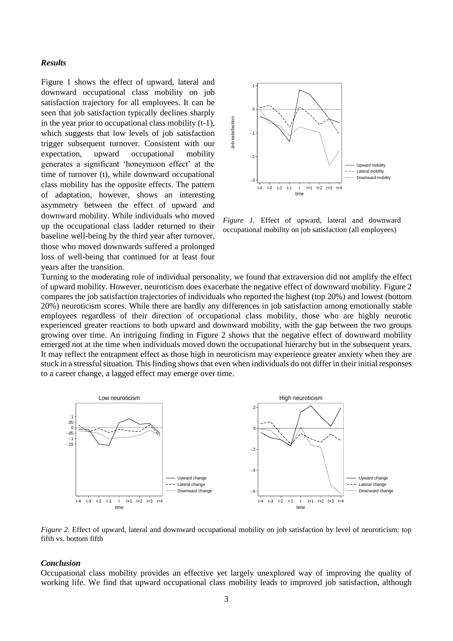### *Results*

Figure 1 shows the effect of upward, lateral and downward occupational class mobility on job satisfaction trajectory for all employees. It can be seen that job satisfaction typically declines sharply in the year prior to occupational class mobility (t-1), which suggests that low levels of job satisfaction trigger subsequent turnover. Consistent with our expectation, upward occupational mobility generates a significant 'honeymoon effect' at the time of turnover (t), while downward occupational class mobility has the opposite effects. The pattern of adaptation, however, shows an interesting asymmetry between the effect of upward and downward mobility. While individuals who moved up the occupational class ladder returned to their baseline well-being by the third year after turnover, those who moved downwards suffered a prolonged loss of well-being that continued for at least four years after the transition.



*Figure 1.* Effect of upward, lateral and downward occupational mobility on job satisfaction (all employees)

Turning to the moderating role of individual personality, we found that extraversion did not amplify the effect of upward mobility. However, neuroticism does exacerbate the negative effect of downward mobility. Figure 2 compares the job satisfaction trajectories of individuals who reported the highest (top 20%) and lowest (bottom 20%) neuroticism scores. While there are hardly any differences in job satisfaction among emotionally stable employees regardless of their direction of occupational class mobility, those who are highly neurotic experienced greater reactions to both upward and downward mobility, with the gap between the two groups growing over time. An intriguing finding in Figure 2 shows that the negative effect of downward mobility emerged not at the time when individuals moved down the occupational hierarchy but in the subsequent years. It may reflect the entrapment effect as those high in neuroticism may experience greater anxiety when they are stuck in a stressful situation. This finding shows that even when individuals do not differ in their initial responses to a career change, a lagged effect may emerge over time.



*Figure 2.* Effect of upward, lateral and downward occupational mobility on job satisfaction by level of neuroticism: top fifth vs. bottom fifth

#### *Conclusion*

Occupational class mobility provides an effective yet largely unexplored way of improving the quality of working life. We find that upward occupational class mobility leads to improved job satisfaction, although